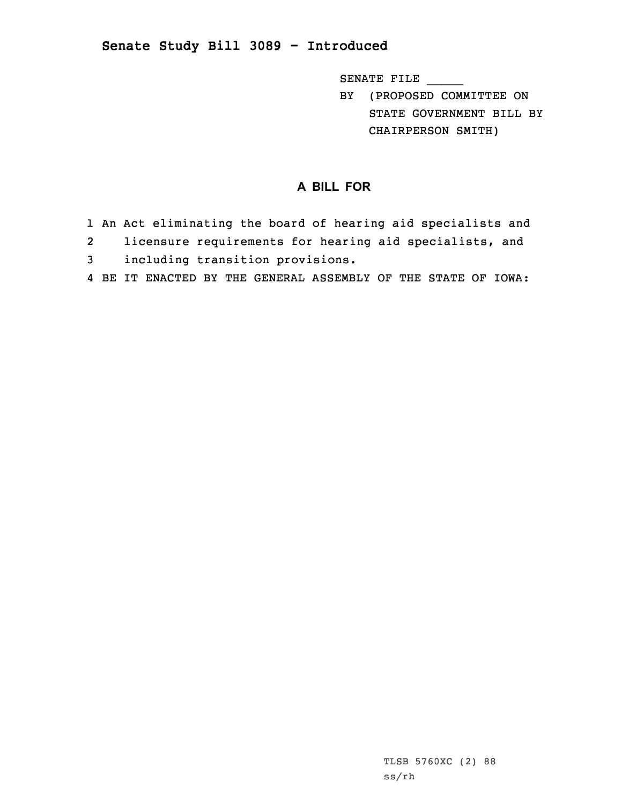## **Senate Study Bill 3089 - Introduced**

SENATE FILE \_\_\_\_\_

BY (PROPOSED COMMITTEE ON STATE GOVERNMENT BILL BY CHAIRPERSON SMITH)

## **A BILL FOR**

- 1 An Act eliminating the board of hearing aid specialists and
- 2licensure requirements for hearing aid specialists, and
- 3 including transition provisions.
- 4 BE IT ENACTED BY THE GENERAL ASSEMBLY OF THE STATE OF IOWA: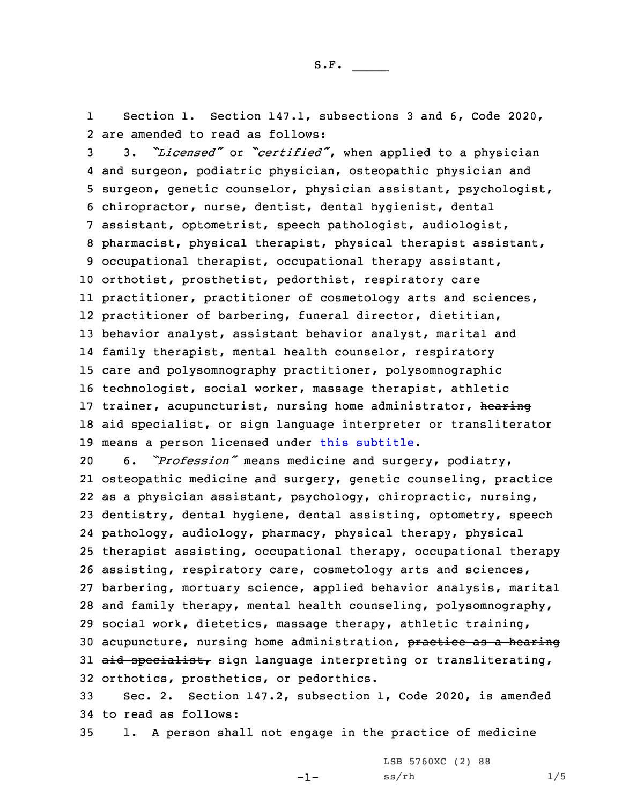1Section 1. Section 147.1, subsections 3 and 6, Code 2020, 2 are amended to read as follows:

 3. *"Licensed"* or *"certified"*, when applied to <sup>a</sup> physician and surgeon, podiatric physician, osteopathic physician and surgeon, genetic counselor, physician assistant, psychologist, chiropractor, nurse, dentist, dental hygienist, dental assistant, optometrist, speech pathologist, audiologist, pharmacist, physical therapist, physical therapist assistant, occupational therapist, occupational therapy assistant, orthotist, prosthetist, pedorthist, respiratory care practitioner, practitioner of cosmetology arts and sciences, practitioner of barbering, funeral director, dietitian, behavior analyst, assistant behavior analyst, marital and family therapist, mental health counselor, respiratory care and polysomnography practitioner, polysomnographic technologist, social worker, massage therapist, athletic 17 trainer, acupuncturist, nursing home administrator, hearing 18 aid specialist, or sign language interpreter or transliterator means <sup>a</sup> person licensed under this subtitle.

 6. *"Profession"* means medicine and surgery, podiatry, osteopathic medicine and surgery, genetic counseling, practice as <sup>a</sup> physician assistant, psychology, chiropractic, nursing, dentistry, dental hygiene, dental assisting, optometry, speech pathology, audiology, pharmacy, physical therapy, physical therapist assisting, occupational therapy, occupational therapy assisting, respiratory care, cosmetology arts and sciences, barbering, mortuary science, applied behavior analysis, marital and family therapy, mental health counseling, polysomnography, social work, dietetics, massage therapy, athletic training, 30 acupuncture, nursing home administration, practice as a hearing 31 aid specialist, sign language interpreting or transliterating, orthotics, prosthetics, or pedorthics.

33 Sec. 2. Section 147.2, subsection 1, Code 2020, is amended 34 to read as follows:

35 1. <sup>A</sup> person shall not engage in the practice of medicine

-1-

LSB 5760XC (2) 88  $ss/rh$   $1/5$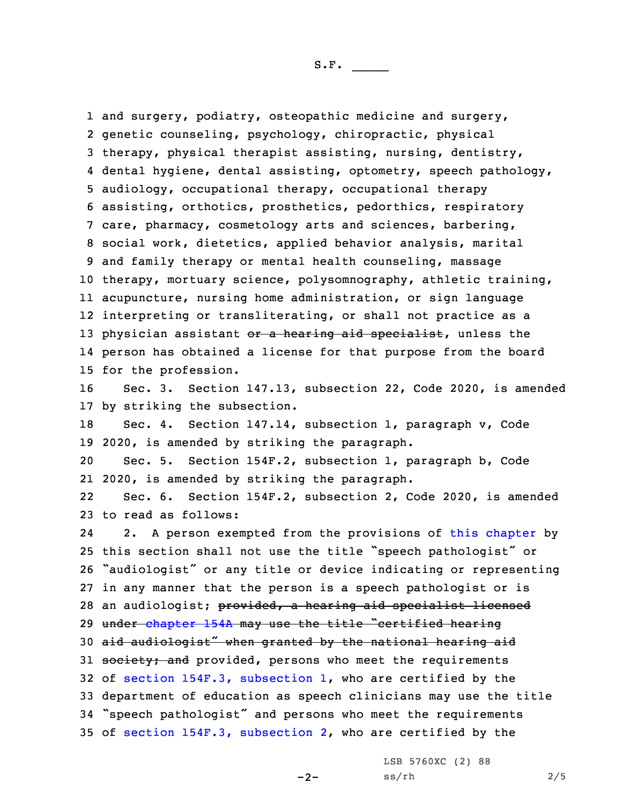1 and surgery, podiatry, osteopathic medicine and surgery, genetic counseling, psychology, chiropractic, physical therapy, physical therapist assisting, nursing, dentistry, dental hygiene, dental assisting, optometry, speech pathology, audiology, occupational therapy, occupational therapy assisting, orthotics, prosthetics, pedorthics, respiratory care, pharmacy, cosmetology arts and sciences, barbering, social work, dietetics, applied behavior analysis, marital and family therapy or mental health counseling, massage therapy, mortuary science, polysomnography, athletic training, acupuncture, nursing home administration, or sign language interpreting or transliterating, or shall not practice as <sup>a</sup> 13 physician assistant or a hearing aid specialist, unless the person has obtained <sup>a</sup> license for that purpose from the board for the profession. Sec. 3. Section 147.13, subsection 22, Code 2020, is amended

17 by striking the subsection. 18 Sec. 4. Section 147.14, subsection 1, paragraph v, Code 19 2020, is amended by striking the paragraph.

20 Sec. 5. Section 154F.2, subsection 1, paragraph b, Code 21 2020, is amended by striking the paragraph.

22 Sec. 6. Section 154F.2, subsection 2, Code 2020, is amended 23 to read as follows:

24 2. <sup>A</sup> person exempted from the provisions of this [chapter](https://www.legis.iowa.gov/docs/code/2020/154F.pdf) by this section shall not use the title "speech pathologist" or "audiologist" or any title or device indicating or representing in any manner that the person is <sup>a</sup> speech pathologist or is 28 an audiologist; provided, a hearing aid specialist licensed 29 under [chapter](https://www.legis.iowa.gov/docs/code/2020/154A.pdf) 154A may use the title "certified hearing aid audiologist" when granted by the national hearing aid 31 society; and provided, persons who meet the requirements of section 154F.3, [subsection](https://www.legis.iowa.gov/docs/code/2020/154F.3.pdf) 1, who are certified by the department of education as speech clinicians may use the title "speech pathologist" and persons who meet the requirements of section 154F.3, [subsection](https://www.legis.iowa.gov/docs/code/2020/154F.3.pdf) 2, who are certified by the

LSB 5760XC (2) 88

 $-2-$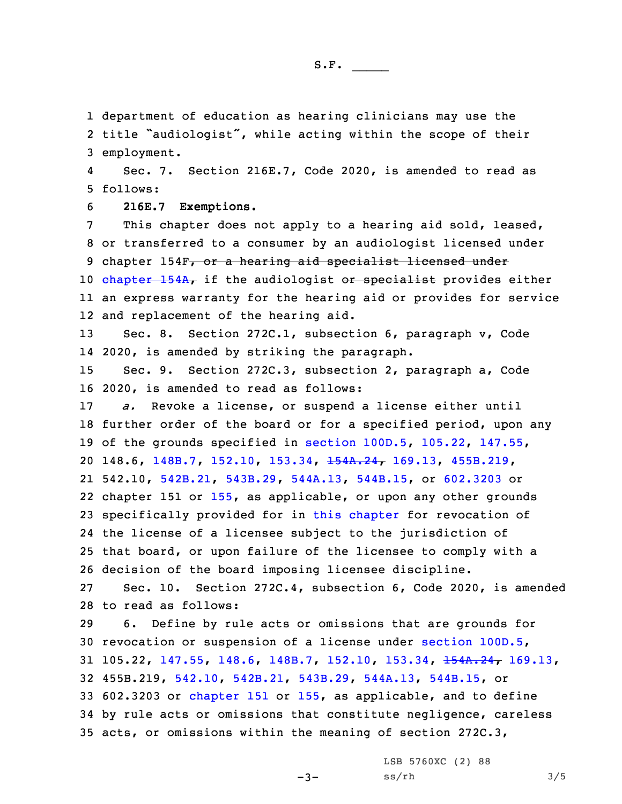1 department of education as hearing clinicians may use the

2 title "audiologist", while acting within the scope of their 3 employment.

4 Sec. 7. Section 216E.7, Code 2020, is amended to read as 5 follows:

6 **216E.7 Exemptions.**

 This chapter does not apply to <sup>a</sup> hearing aid sold, leased, or transferred to <sup>a</sup> consumer by an audiologist licensed under 9 chapter 154F, or a hearing aid specialist licensed under [chapter](https://www.legis.iowa.gov/docs/code/2020/154A.pdf) 154A, if the audiologist or specialist provides either an express warranty for the hearing aid or provides for service and replacement of the hearing aid.

13 Sec. 8. Section 272C.1, subsection 6, paragraph v, Code 14 2020, is amended by striking the paragraph.

15 Sec. 9. Section 272C.3, subsection 2, paragraph a, Code 16 2020, is amended to read as follows:

 *a.* Revoke <sup>a</sup> license, or suspend <sup>a</sup> license either until further order of the board or for <sup>a</sup> specified period, upon any of the grounds specified in section [100D.5](https://www.legis.iowa.gov/docs/code/2020/100D.5.pdf), [105.22](https://www.legis.iowa.gov/docs/code/2020/105.22.pdf), [147.55](https://www.legis.iowa.gov/docs/code/2020/147.55.pdf), 148.6, [148B.7](https://www.legis.iowa.gov/docs/code/2020/148B.7.pdf), [152.10](https://www.legis.iowa.gov/docs/code/2020/152.10.pdf), [153.34](https://www.legis.iowa.gov/docs/code/2020/153.34.pdf), [154A.24](https://www.legis.iowa.gov/docs/code/2020/154A.24.pdf), [169.13](https://www.legis.iowa.gov/docs/code/2020/169.13.pdf), [455B.219](https://www.legis.iowa.gov/docs/code/2020/455B.219.pdf), 542.10, [542B.21](https://www.legis.iowa.gov/docs/code/2020/542B.21.pdf), [543B.29](https://www.legis.iowa.gov/docs/code/2020/543B.29.pdf), [544A.13](https://www.legis.iowa.gov/docs/code/2020/544A.13.pdf), [544B.15](https://www.legis.iowa.gov/docs/code/2020/544B.15.pdf), or [602.3203](https://www.legis.iowa.gov/docs/code/2020/602.3203.pdf) or chapter 151 or [155](https://www.legis.iowa.gov/docs/code/2020/155.pdf), as applicable, or upon any other grounds specifically provided for in this [chapter](https://www.legis.iowa.gov/docs/code/2020/272C.pdf) for revocation of the license of <sup>a</sup> licensee subject to the jurisdiction of that board, or upon failure of the licensee to comply with <sup>a</sup> decision of the board imposing licensee discipline.

27 Sec. 10. Section 272C.4, subsection 6, Code 2020, is amended 28 to read as follows:

 6. Define by rule acts or omissions that are grounds for revocation or suspension of <sup>a</sup> license under [section](https://www.legis.iowa.gov/docs/code/2020/100D.5.pdf) 100D.5, 105.22, [147.55](https://www.legis.iowa.gov/docs/code/2020/147.55.pdf), [148.6](https://www.legis.iowa.gov/docs/code/2020/148.6.pdf), [148B.7](https://www.legis.iowa.gov/docs/code/2020/148B.7.pdf), [152.10](https://www.legis.iowa.gov/docs/code/2020/152.10.pdf), [153.34](https://www.legis.iowa.gov/docs/code/2020/153.34.pdf), [154A.24](https://www.legis.iowa.gov/docs/code/2020/154A.24.pdf), [169.13](https://www.legis.iowa.gov/docs/code/2020/169.13.pdf), 455B.219, [542.10](https://www.legis.iowa.gov/docs/code/2020/542.10.pdf), [542B.21](https://www.legis.iowa.gov/docs/code/2020/542B.21.pdf), [543B.29](https://www.legis.iowa.gov/docs/code/2020/543B.29.pdf), [544A.13](https://www.legis.iowa.gov/docs/code/2020/544A.13.pdf), [544B.15](https://www.legis.iowa.gov/docs/code/2020/544B.15.pdf), or 602.3203 or [chapter](https://www.legis.iowa.gov/docs/code/2020/151.pdf) 151 or [155](https://www.legis.iowa.gov/docs/code/2020/155.pdf), as applicable, and to define by rule acts or omissions that constitute negligence, careless acts, or omissions within the meaning of section 272C.3,

-3-

LSB 5760XC (2) 88  $ss/rh$   $3/5$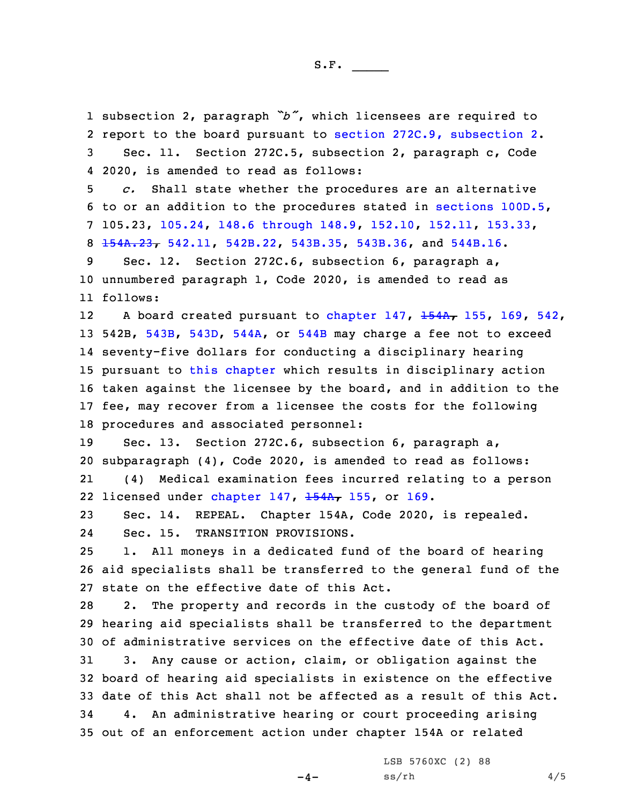subsection 2, paragraph *"b"*, which licensees are required to report to the board pursuant to section 272C.9, [subsection](https://www.legis.iowa.gov/docs/code/2020/272C.9.pdf) 2. Sec. 11. Section 272C.5, subsection 2, paragraph c, Code 2020, is amended to read as follows: *c.* Shall state whether the procedures are an alternative to or an addition to the procedures stated in [sections](https://www.legis.iowa.gov/docs/code/2020/100D.5.pdf) 100D.5, 105.23, [105.24](https://www.legis.iowa.gov/docs/code/2020/105.24.pdf), 148.6 [through](https://www.legis.iowa.gov/docs/code/2020/148.6.pdf) 148.9, [152.10](https://www.legis.iowa.gov/docs/code/2020/152.10.pdf), [152.11](https://www.legis.iowa.gov/docs/code/2020/152.11.pdf), [153.33](https://www.legis.iowa.gov/docs/code/2020/153.33.pdf), [154A.23](https://www.legis.iowa.gov/docs/code/2020/154A.23.pdf), [542.11](https://www.legis.iowa.gov/docs/code/2020/542.11.pdf), [542B.22](https://www.legis.iowa.gov/docs/code/2020/542B.22.pdf), [543B.35](https://www.legis.iowa.gov/docs/code/2020/543B.35.pdf), [543B.36](https://www.legis.iowa.gov/docs/code/2020/543B.36.pdf), and [544B.16](https://www.legis.iowa.gov/docs/code/2020/544B.16.pdf). Sec. 12. Section 272C.6, subsection 6, paragraph a, unnumbered paragraph 1, Code 2020, is amended to read as 11 follows: 12A board created pursuant to [chapter](https://www.legis.iowa.gov/docs/code/2020/147.pdf)  $147$ ,  $154A$ ,  $155$ ,  $169$ ,  $542$ , 542B, [543B](https://www.legis.iowa.gov/docs/code/2020/543B.pdf), [543D](https://www.legis.iowa.gov/docs/code/2020/543D.pdf), [544A](https://www.legis.iowa.gov/docs/code/2020/544A.pdf), or [544B](https://www.legis.iowa.gov/docs/code/2020/544B.pdf) may charge <sup>a</sup> fee not to exceed seventy-five dollars for conducting <sup>a</sup> disciplinary hearing pursuant to this [chapter](https://www.legis.iowa.gov/docs/code/2020/272C.pdf) which results in disciplinary action taken against the licensee by the board, and in addition to the fee, may recover from <sup>a</sup> licensee the costs for the following procedures and associated personnel: Sec. 13. Section 272C.6, subsection 6, paragraph a, subparagraph (4), Code 2020, is amended to read as follows: 21 (4) Medical examination fees incurred relating to <sup>a</sup> person 22 licensed under [chapter](https://www.legis.iowa.gov/docs/code/2020/147.pdf) 147, <del>[154A](https://www.legis.iowa.gov/docs/code/2020/154A.pdf),</del> [155](https://www.legis.iowa.gov/docs/code/2020/155.pdf), or [169](https://www.legis.iowa.gov/docs/code/2020/169.pdf). Sec. 14. REPEAL. Chapter 154A, Code 2020, is repealed. 24 Sec. 15. TRANSITION PROVISIONS. 1. All moneys in <sup>a</sup> dedicated fund of the board of hearing aid specialists shall be transferred to the general fund of the state on the effective date of this Act. 2. The property and records in the custody of the board of hearing aid specialists shall be transferred to the department of administrative services on the effective date of this Act. 3. Any cause or action, claim, or obligation against the board of hearing aid specialists in existence on the effective date of this Act shall not be affected as <sup>a</sup> result of this Act. 4. An administrative hearing or court proceeding arising out of an enforcement action under chapter 154A or related

 $-4-$ 

LSB 5760XC (2) 88  $ss/rh$  4/5